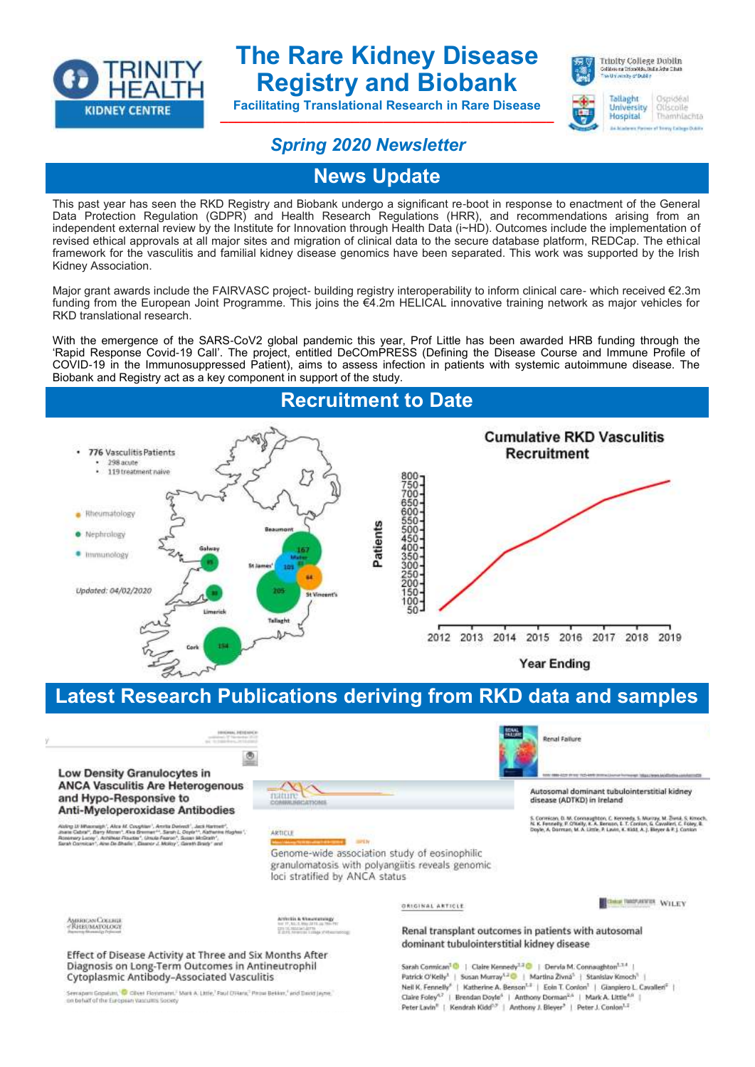

# **The Rare Kidney Disease Registry and Biobank**

**Facilitating Translational Research in Rare Disease \_\_\_\_\_\_\_\_\_\_\_\_\_\_\_\_\_\_\_\_\_\_\_\_\_\_\_\_\_\_\_\_\_\_\_\_\_\_\_\_\_\_\_**



winks of Dubli Tallaght Ospidéal

University Ottsrolle Hospital Thàmhlachta

## *Spring 2020 Newsletter*

**News Update**

This past year has seen the RKD Registry and Biobank undergo a significant re-boot in response to enactment of the General Data Protection Regulation (GDPR) and Health Research Regulations (HRR), and recommendations arising from an independent external review by the Institute for Innovation through Health Data (i~HD). Outcomes include the implementation of revised ethical approvals at all major sites and migration of clinical data to the secure database platform, REDCap. The ethical framework for the vasculitis and familial kidney disease genomics have been separated. This work was supported by the Irish Kidney Association.

Major grant awards include the FAIRVASC project- building registry interoperability to inform clinical care- which received €2.3m funding from the European Joint Programme. This joins the €4.2m HELICAL innovative training network as major vehicles for RKD translational research.

With the emergence of the SARS-CoV2 global pandemic this year, Prof Little has been awarded HRB funding through the 'Rapid Response Covid-19 Call'. The project, entitled DeCOmPRESS (Defining the Disease Course and Immune Profile of COVID-19 in the Immunosuppressed Patient), aims to assess infection in patients with systemic autoimmune disease. The Biobank and Registry act as a key component in support of the study.